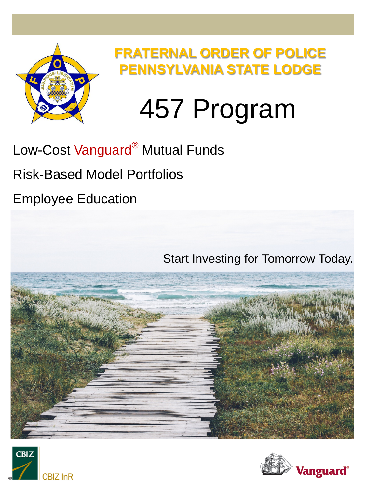

**FRATERNAL ORDER OF POLICE PENNSYLVANIA STATE LODGE**

## 457 Program

## Low-Cost Vanguard<sup>®</sup> Mutual Funds

Risk-Based Model Portfolios

Employee Education





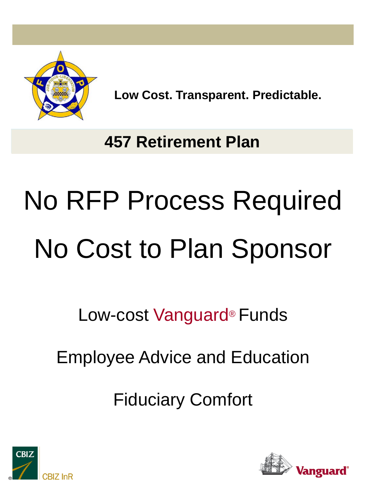

**Low Cost. Transparent. Predictable.** 

## **457 Retirement Plan**

# No RFP Process Required No Cost to Plan Sponsor

Low-cost Vanguard® Funds

Employee Advice and Education

Fiduciary Comfort



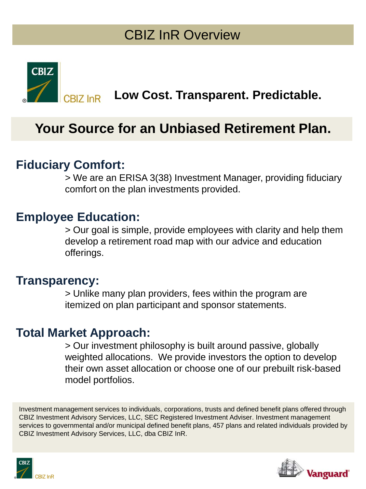#### CBIZ InR Overview



**Low Cost. Transparent. Predictable.** 

#### **Your Source for an Unbiased Retirement Plan.**

#### **Fiduciary Comfort:**

> We are an ERISA 3(38) Investment Manager, providing fiduciary comfort on the plan investments provided.

#### **Employee Education:**

> Our goal is simple, provide employees with clarity and help them develop a retirement road map with our advice and education offerings.

#### **Transparency:**

> Unlike many plan providers, fees within the program are itemized on plan participant and sponsor statements.

#### **Total Market Approach:**

> Our investment philosophy is built around passive, globally weighted allocations. We provide investors the option to develop their own asset allocation or choose one of our prebuilt risk-based model portfolios.

Investment management services to individuals, corporations, trusts and defined benefit plans offered through CBIZ Investment Advisory Services, LLC, SEC Registered Investment Adviser. Investment management services to governmental and/or municipal defined benefit plans, 457 plans and related individuals provided by CBIZ Investment Advisory Services, LLC, dba CBIZ InR.



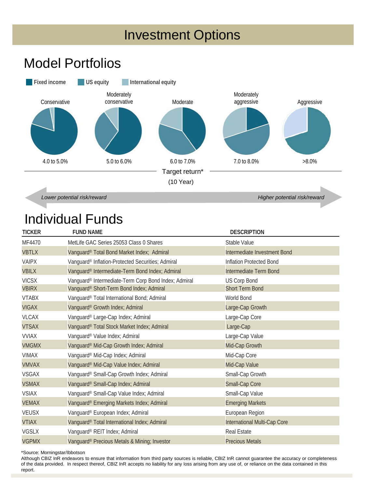#### Investment Options

#### Model Portfolios



*Lower potential risk/reward Higher potential risk/reward*

#### Individual Funds

| <b>TICKER</b>                | <b>FUND NAME</b>                                                                                 | <b>DESCRIPTION</b>                            |
|------------------------------|--------------------------------------------------------------------------------------------------|-----------------------------------------------|
| MF4470                       | MetLife GAC Series 25053 Class 0 Shares                                                          | Stable Value                                  |
| <b>VBTLX</b>                 | Vanguard® Total Bond Market Index; Admiral                                                       | Intermediate Investment Bond                  |
| <b>VAIPX</b>                 | Vanguard® Inflation-Protected Securities; Admiral                                                | Inflation Protected Bond                      |
| <b>VBILX</b>                 | Vanguard® Intermediate-Term Bond Index; Admiral                                                  | Intermediate Term Bond                        |
| <b>VICSX</b><br><b>VBIRX</b> | Vanguard® Intermediate-Term Corp Bond Index; Admiral<br>Vanguard® Short-Term Bond Index; Admiral | <b>US Corp Bond</b><br><b>Short Term Bond</b> |
| <b>VTABX</b>                 | Vanguard® Total International Bond; Admiral                                                      | World Bond                                    |
| <b>VIGAX</b>                 | Vanguard® Growth Index; Admiral                                                                  | Large-Cap Growth                              |
| <b>VLCAX</b>                 | Vanguard® Large-Cap Index; Admiral                                                               | Large-Cap Core                                |
| <b>VTSAX</b>                 | Vanguard® Total Stock Market Index; Admiral                                                      | Large-Cap                                     |
| <b>VVIAX</b>                 | Vanguard® Value Index; Admiral                                                                   | Large-Cap Value                               |
| <b>VMGMX</b>                 | Vanguard® Mid-Cap Growth Index; Admiral                                                          | Mid-Cap Growth                                |
| <b>VIMAX</b>                 | Vanguard® Mid-Cap Index; Admiral                                                                 | Mid-Cap Core                                  |
| <b>VMVAX</b>                 | Vanguard® Mid-Cap Value Index; Admiral                                                           | Mid-Cap Value                                 |
| <b>VSGAX</b>                 | Vanguard® Small-Cap Growth Index; Admiral                                                        | Small-Cap Growth                              |
| <b>VSMAX</b>                 | Vanguard® Small-Cap Index; Admiral                                                               | Small-Cap Core                                |
| <b>VSIAX</b>                 | Vanguard® Small-Cap Value Index; Admiral                                                         | Small-Cap Value                               |
| <b>VEMAX</b>                 | Vanguard® Emerging Markets Index; Admiral                                                        | <b>Emerging Markets</b>                       |
| <b>VEUSX</b>                 | Vanguard® European Index; Admiral                                                                | European Region                               |
| <b>VTIAX</b>                 | Vanguard® Total International Index; Admiral                                                     | International Multi-Cap Core                  |
| <b>VGSLX</b>                 | Vanguard® REIT Index; Admiral                                                                    | <b>Real Estate</b>                            |
| <b>VGPMX</b>                 | Vanguard® Precious Metals & Mining; Investor                                                     | <b>Precious Metals</b>                        |

\*Source: Morningstar/Ibbotson

Although CBIZ InR endeavors to ensure that information from third party sources is reliable, CBIZ InR cannot guarantee the accuracy or completeness of the data provided. In respect thereof, CBIZ InR accepts no liability for any loss arising from any use of, or reliance on the data contained in this report.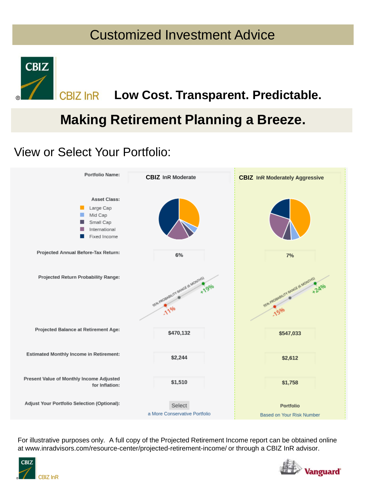#### Customized Investment Advice



#### **CBIZ InR Low Cost. Transparent. Predictable.**

#### **Making Retirement Planning a Breeze.**

#### View or Select Your Portfolio:



For illustrative purposes only. A full copy of the Projected Retirement Income report can be obtained online at www.inradvisors.com/resource-center/projected-retirement-income/ or through a CBIZ InR advisor.



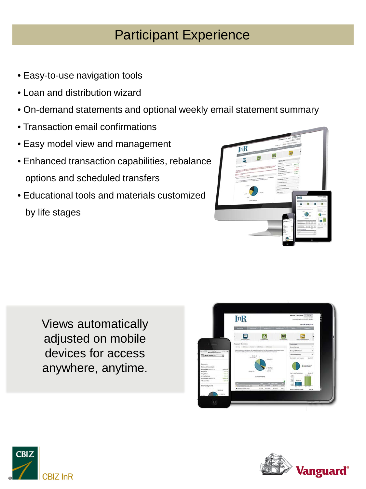#### Participant Experience

- Easy-to-use navigation tools
- Loan and distribution wizard
- On-demand statements and optional weekly email statement summary
- Transaction email confirmations
- Easy model view and management
- Enhanced transaction capabilities, rebalance options and scheduled transfers
- Educational tools and materials customized by life stages

| [nR]                                                                                                                                                                                                                                                                                                                                                                                                                                                                                         |                          | where the A lock and the second con-<br><b>Commercial State Street Bank</b><br>parent conclusion, with a transport to be a local to the                                                   |                                                                                    |                                                           |
|----------------------------------------------------------------------------------------------------------------------------------------------------------------------------------------------------------------------------------------------------------------------------------------------------------------------------------------------------------------------------------------------------------------------------------------------------------------------------------------------|--------------------------|-------------------------------------------------------------------------------------------------------------------------------------------------------------------------------------------|------------------------------------------------------------------------------------|-----------------------------------------------------------|
| Е<br>a composition de la composition de la composition de la composition de la composition de la composition de la<br>Composition de la composition de la composition de la composition de la composition de la composition de la co<br>with the party size when defined in the first $\phi$ -decompose is a second in a process second contract to the contract of                                                                                                                          | an ro<br>-               | <b>COLLAGER</b><br><b>Annual Leoner</b><br><b>Annual Grand Co. (2) (2) (2)</b><br><b>Party Street</b><br><b>Brown Support</b><br><b>Symposizer</b><br><b>Annual Report of Artists and</b> | ٠<br>parter.<br>senten.<br>al dif<br><b>STARTED</b><br><b>MORE</b><br><b>GLIAD</b> |                                                           |
| parents and market<br>$\frac{1}{2} \left( \frac{1}{2} \right) \left( \frac{1}{2} \right) \left( \frac{1}{2} \right)$<br>party many wave<br>ment is enterpreted to be the determination and the first state of the state of the first<br>which is depressively as a series of the series of the contract and the $\beta$ . There is a series of the series of the series of the series of the series of the series of the series of the series of the series of the serie<br>accent.<br>148.8 | <b>Caroline</b><br>49.08 | <b>UTMORFFERE</b><br><b>Brown &amp; Ballyston</b><br>Contact Letters<br><b>ANTIBARTACION</b><br>Look & Development Automobile<br><b>Chris Sections</b>                                    | ٠<br>$\overline{a}$<br>٠<br>٠                                                      |                                                           |
| 4.0<br>Generalism                                                                                                                                                                                                                                                                                                                                                                                                                                                                            |                          |                                                                                                                                                                                           | <b>InR</b><br>$\Box$<br>a<br><b>CONTRACTOR</b><br>and later two<br><b>SOUTH AT</b> | O<br>-<br>$\sim$<br>--<br>$\sim$                          |
|                                                                                                                                                                                                                                                                                                                                                                                                                                                                                              |                          |                                                                                                                                                                                           | ≂<br><b>COLOR</b>                                                                  | ÷<br><b>INCOMERCIAL</b><br>80 W 16<br><b>Lames</b><br>--- |

Views automatically adjusted on mobile devices for access anywhere, anytime.